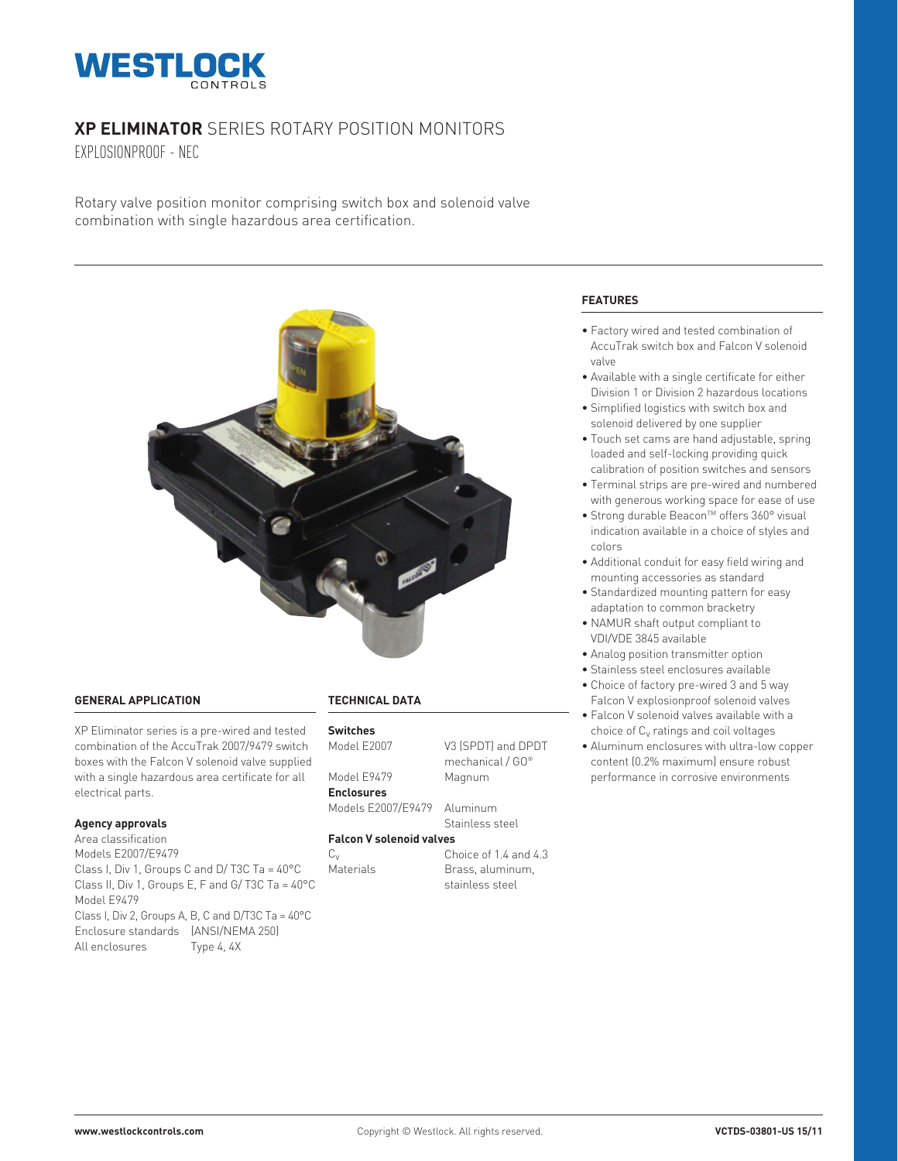

# **XP ELIMINATOR** SERIES ROTARY POSITION MONITORS

EXPLOSIONPROOF - NEC

Rotary valve position monitor comprising switch box and solenoid valve combination with single hazardous area certification.



# **GENERAL APPLICATION**

XP Eliminator series is a pre-wired and tested combination of the AccuTrak 2007/9479 switch boxes with the Falcon V solenoid valve supplied with a single hazardous area certificate for all electrical parts.

## **Agency approvals**

Area classification Models E2007/E9479 Class I, Div 1, Groups C and D/ T3C Ta = 40°C Class II, Div 1, Groups E, F and G/ T3C Ta = 40°C Model E9479 Class I, Div 2, Groups A, B, C and D/T3C Ta = 40°C Enclosure standards (ANSI/NEMA 250) All enclosures Type 4, 4X

### **TECHNICAL DATA**

### **Switches**

Model E2007 V3 (SPDT) and DPDT

**Enclosures**

mechanical / GO® Model E9479 Magnum

Stainless steel

Models E2007/E9479 Aluminum

# **Falcon V solenoid valves**

C<sub>v</sub> Choice of 1.4 and 4.3 Materials Brass, aluminum, stainless steel

# **FEATURES**

- Factory wired and tested combination of AccuTrak switch box and Falcon V solenoid valve
- Available with a single certificate for either Division 1 or Division 2 hazardous locations
- Simplified logistics with switch box and solenoid delivered by one supplier
- Touch set cams are hand adjustable, spring loaded and self-locking providing quick calibration of position switches and sensors
- Terminal strips are pre-wired and numbered with generous working space for ease of use
- Strong durable Beacon™ offers 360° visual indication available in a choice of styles and colors
- Additional conduit for easy field wiring and mounting accessories as standard
- Standardized mounting pattern for easy adaptation to common bracketry
- NAMUR shaft output compliant to VDI/VDE 3845 available
- Analog position transmitter option
- Stainless steel enclosures available
- Choice of factory pre-wired 3 and 5 way Falcon V explosionproof solenoid valves
- Falcon V solenoid valves available with a choice of  $C_v$  ratings and coil voltages
- Aluminum enclosures with ultra-low copper content (0.2% maximum) ensure robust performance in corrosive environments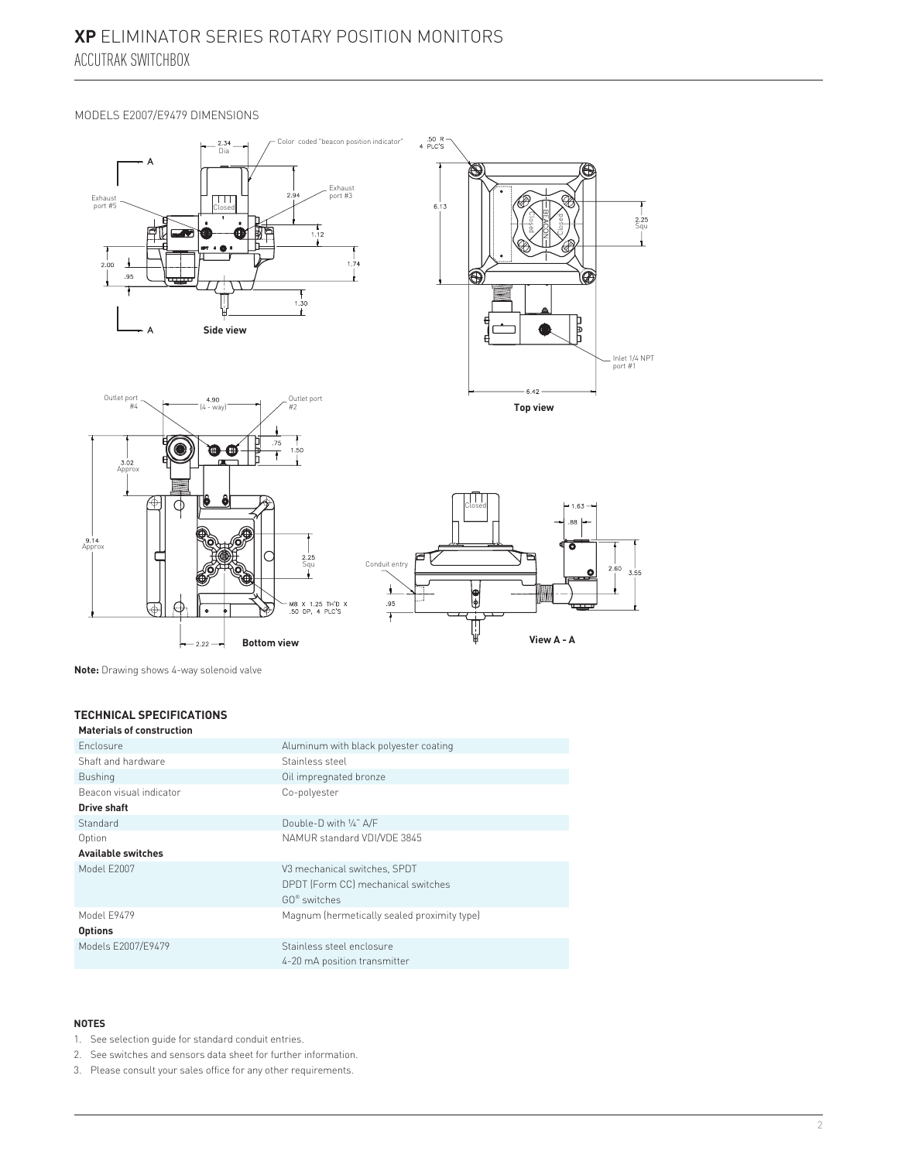### MODELS E2007/E9479 DIMENSIONS









**Note:** Drawing shows 4-way solenoid valve

# **TECHNICAL SPECIFICATIONS**

| <b>Materials of construction</b> |                                             |
|----------------------------------|---------------------------------------------|
| <b>Enclosure</b>                 | Aluminum with black polyester coating       |
| Shaft and hardware               | Stainless steel                             |
| <b>Bushing</b>                   | Oil impregnated bronze                      |
| Beacon visual indicator          | Co-polyester                                |
| Drive shaft                      |                                             |
| Standard                         | Double-D with 1/4" A/F                      |
| Option                           | NAMUR standard VDI/VDE 3845                 |
| <b>Available switches</b>        |                                             |
| Model F2007                      | V3 mechanical switches, SPDT                |
|                                  | DPDT (Form CC) mechanical switches          |
|                                  | $GO°$ switches                              |
| Model F9479                      | Magnum (hermetically sealed proximity type) |
| <b>Options</b>                   |                                             |
| Models E2007/E9479               | Stainless steel enclosure                   |
|                                  | 4-20 mA position transmitter                |

## **NOTES**

- 1. See selection guide for standard conduit entries.
- 2. See switches and sensors data sheet for further information.
- 3. Please consult your sales office for any other requirements.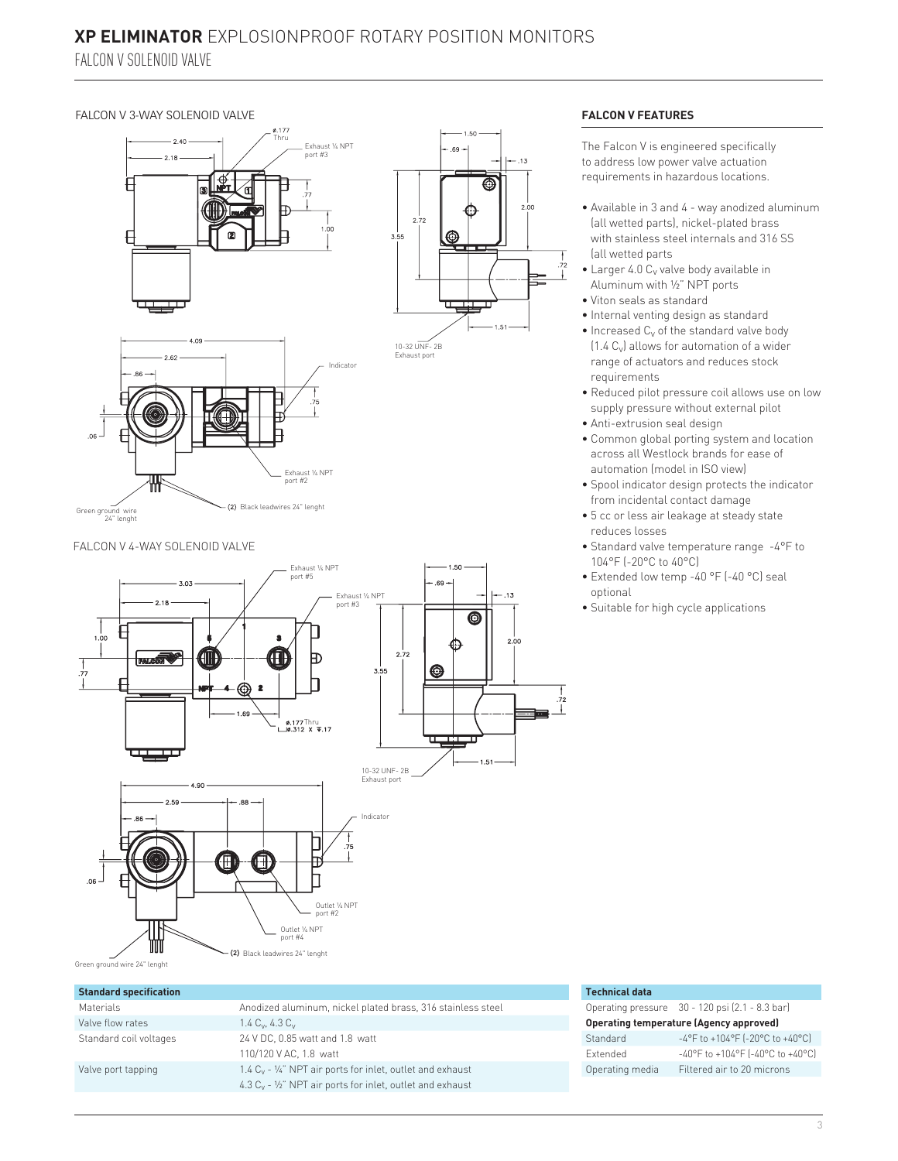10-32 UNF- 2B e. . .<br>st port

 $2.72$ 

 $3.55$ 

◎

### FALCON V 3-WAY SOLENOID VALVE





### FALCON V 4-WAY SOLENOID VALVE



# **FALCON V FEATURES**

 $.13$ 

 $2.00$ 

 $\overline{\mathbb{G}}$ 

The Falcon V is engineered specifically to address low power valve actuation requirements in hazardous locations.

- Available in 3 and 4 way anodized aluminum (all wetted parts), nickel-plated brass with stainless steel internals and 316 SS (all wetted parts
- $\bullet$  Larger 4.0  $C_v$  valve body available in Aluminum with ½" NPT ports
- Viton seals as standard
- Internal venting design as standard
- $\bullet$  Increased  $C_v$  of the standard valve body  $(1.4 \text{ C}_v)$  allows for automation of a wider range of actuators and reduces stock requirements
- Reduced pilot pressure coil allows use on low supply pressure without external pilot
- Anti-extrusion seal design
- Common global porting system and location across all Westlock brands for ease of automation (model in ISO view)
- Spool indicator design protects the indicator from incidental contact damage
- 5 cc or less air leakage at steady state reduces losses
- Standard valve temperature range -4°F to 104°F (-20°C to 40°C)
- Extended low temp -40 °F (-40 °C) seal optional
- Suitable for high cycle applications

| <b>Standard specification</b> |                                                                         |
|-------------------------------|-------------------------------------------------------------------------|
| Materials                     | Anodized aluminum, nickel plated brass, 316 stainless steel             |
| Valve flow rates              | 1.4 $C_v$ , 4.3 $C_v$                                                   |
| Standard coil voltages        | 24 V DC, 0.85 watt and 1.8 watt<br>110/120 V AC, 1.8 watt               |
| Valve port tapping            | 1.4 $C_v$ - $\frac{1}{4}$ " NPT air ports for inlet, outlet and exhaust |

4.3  $C_v$  -  $\frac{1}{2}$ " NPT air ports for inlet, outlet and exhaust

| <b>Technical data</b> |                                                      |
|-----------------------|------------------------------------------------------|
|                       | Operating pressure 30 - 120 psi (2.1 - 8.3 bar)      |
|                       | <b>Operating temperature (Agency approved)</b>       |
| Standard              | -4°F to +104°F (-20°C to +40°C)                      |
| Extended              | $-40^{\circ}$ F to $+104^{\circ}$ F (-40°C to +40°C) |
| Operating media       | Filtered air to 20 microns                           |